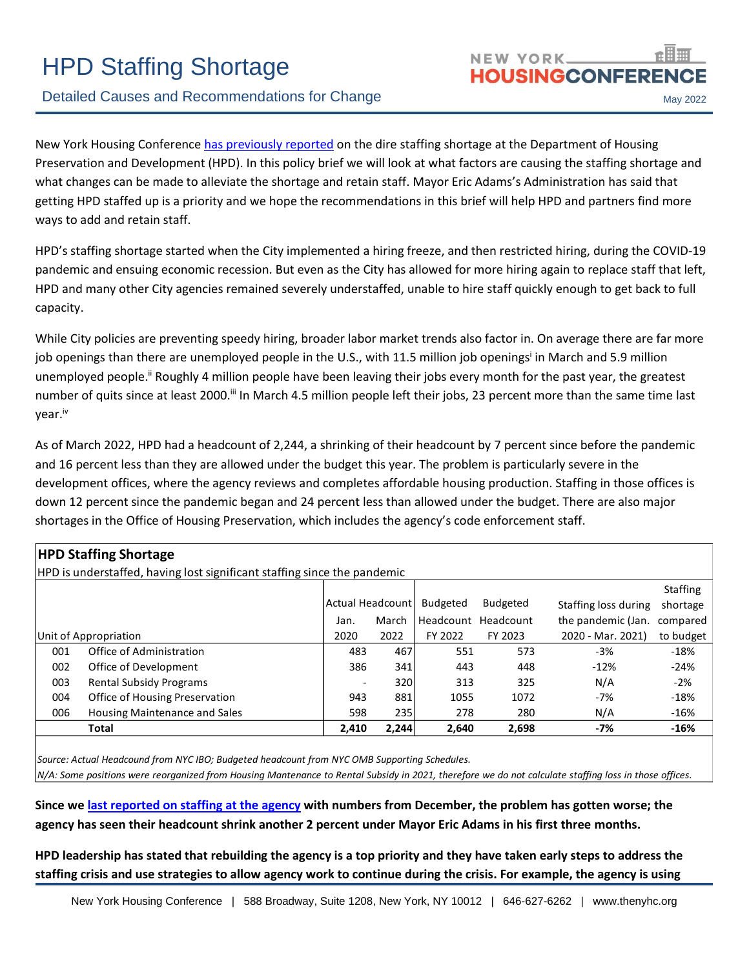# HPD Staffing Shortage

# Detailed Causes and Recommendations for Change May 2022

New York Housing Conference [has previously reported](https://thenyhc.org/2022/02/15/mayor-eric-adams-must-address-the-staffing-crisis-at-hpd/) on the dire staffing shortage at the Department of Housing Preservation and Development (HPD). In this policy brief we will look at what factors are causing the staffing shortage and what changes can be made to alleviate the shortage and retain staff. Mayor Eric Adams's Administration has said that getting HPD staffed up is a priority and we hope the recommendations in this brief will help HPD and partners find more ways to add and retain staff.

HPD's staffing shortage started when the City implemented a hiring freeze, and then restricted hiring, during the COVID-19 pandemic and ensuing economic recession. But even as the City has allowed for more hiring again to replace staff that left, HPD and many other City agencies remained severely understaffed, unable to hire staff quickly enough to get back to full capacity.

While City policies are preventing speedy hiring, broader labor market trends also factor in. On average there are far more job openings than there are unemployed people in the U.S., with 11.5 million job openings<sup>i</sup> in March and 5.9 million unemployed people.<sup>ii</sup> Roughly 4 million people have been leaving their jobs every month for the past year, the greatest number of quits since at least 2000.<sup>ii</sup> In March 4.5 million people left their jobs, 23 percent more than the same time last year.iv

As of March 2022, HPD had a headcount of 2,244, a shrinking of their headcount by 7 percent since before the pandemic and 16 percent less than they are allowed under the budget this year. The problem is particularly severe in the development offices, where the agency reviews and completes affordable housing production. Staffing in those offices is down 12 percent since the pandemic began and 24 percent less than allowed under the budget. There are also major shortages in the Office of Housing Preservation, which includes the agency's code enforcement staff.

| <b>HPD Staffing Shortage</b>                                             |                          |                  |         |                     |                      |                 |  |  |
|--------------------------------------------------------------------------|--------------------------|------------------|---------|---------------------|----------------------|-----------------|--|--|
| HPD is understaffed, having lost significant staffing since the pandemic |                          |                  |         |                     |                      |                 |  |  |
|                                                                          |                          |                  |         |                     |                      | <b>Staffing</b> |  |  |
|                                                                          |                          | Actual Headcount |         | <b>Budgeted</b>     | Staffing loss during | shortage        |  |  |
|                                                                          | Jan.                     | March            |         | Headcount Headcount | the pandemic (Jan.   | compared        |  |  |
| Unit of Appropriation                                                    | 2020                     | 2022             | FY 2022 | FY 2023             | 2020 - Mar. 2021)    | to budget       |  |  |
| Office of Administration<br>001                                          | 483                      | 467              | 551     | 573                 | $-3%$                | $-18%$          |  |  |
| Office of Development<br>002                                             | 386                      | 341              | 443     | 448                 | $-12%$               | $-24%$          |  |  |
| <b>Rental Subsidy Programs</b><br>003                                    | $\overline{\phantom{a}}$ | 320              | 313     | 325                 | N/A                  | $-2%$           |  |  |
| Office of Housing Preservation<br>004                                    | 943                      | 881              | 1055    | 1072                | $-7%$                | $-18%$          |  |  |
| 006<br><b>Housing Maintenance and Sales</b>                              | 598                      | 235              | 278     | 280                 | N/A                  | $-16%$          |  |  |
| Total                                                                    | 2,410                    | 2,244            | 2,640   | 2,698               | -7%                  | $-16%$          |  |  |

*Source: Actual Headcound from NYC IBO; Budgeted headcount from NYC OMB Supporting Schedules.*

*N/A: Some positions were reorganized from Housing Mantenance to Rental Subsidy in 2021, therefore we do not calculate staffing loss in those offices.*

**Since w[e last reported on staffing at the agency](http://thenyhc.org/wp-content/uploads/2022/02/Policy-Brief-HPD-Staffing-Needs-Feb-8-2022.pdf) with numbers from December, the problem has gotten worse; the agency has seen their headcount shrink another 2 percent under Mayor Eric Adams in his first three months.** 

**HPD leadership has stated that rebuilding the agency is a top priority and they have taken early steps to address the staffing crisis and use strategies to allow agency work to continue during the crisis. For example, the agency is using**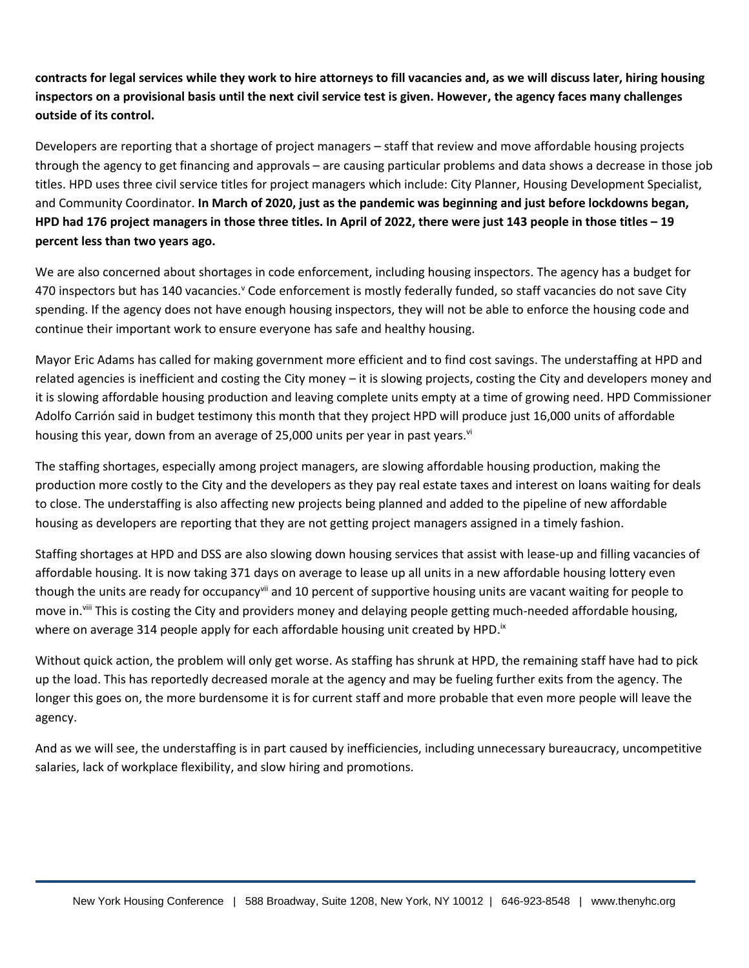**contracts for legal services while they work to hire attorneys to fill vacancies and, as we will discuss later, hiring housing inspectors on a provisional basis until the next civil service test is given. However, the agency faces many challenges outside of its control.**

Developers are reporting that a shortage of project managers – staff that review and move affordable housing projects through the agency to get financing and approvals – are causing particular problems and data shows a decrease in those job titles. HPD uses three civil service titles for project managers which include: City Planner, Housing Development Specialist, and Community Coordinator. **In March of 2020, just as the pandemic was beginning and just before lockdowns began, HPD had 176 project managers in those three titles. In April of 2022, there were just 143 people in those titles – 19 percent less than two years ago.**

We are also concerned about shortages in code enforcement, including housing inspectors. The agency has a budget for 470 inspectors but has 140 vacancies.<sup>y</sup> Code enforcement is mostly federally funded, so staff vacancies do not save City spending. If the agency does not have enough housing inspectors, they will not be able to enforce the housing code and continue their important work to ensure everyone has safe and healthy housing.

Mayor Eric Adams has called for making government more efficient and to find cost savings. The understaffing at HPD and related agencies is inefficient and costing the City money – it is slowing projects, costing the City and developers money and it is slowing affordable housing production and leaving complete units empty at a time of growing need. HPD Commissioner Adolfo Carrión said in budget testimony this month that they project HPD will produce just 16,000 units of affordable housing this year, down from an average of 25,000 units per year in past years.<sup>vi</sup>

The staffing shortages, especially among project managers, are slowing affordable housing production, making the production more costly to the City and the developers as they pay real estate taxes and interest on loans waiting for deals to close. The understaffing is also affecting new projects being planned and added to the pipeline of new affordable housing as developers are reporting that they are not getting project managers assigned in a timely fashion.

Staffing shortages at HPD and DSS are also slowing down housing services that assist with lease-up and filling vacancies of affordable housing. It is now taking 371 days on average to lease up all units in a new affordable housing lottery even though the units are ready for occupancy<sup>vii</sup> and 10 percent of supportive housing units are vacant waiting for people to move in.<sup>viii</sup> This is costing the City and providers money and delaying people getting much-needed affordable housing, where on average 314 people apply for each affordable housing unit created by HPD. $^{\text{ix}}$ 

Without quick action, the problem will only get worse. As staffing has shrunk at HPD, the remaining staff have had to pick up the load. This has reportedly decreased morale at the agency and may be fueling further exits from the agency. The longer this goes on, the more burdensome it is for current staff and more probable that even more people will leave the agency.

And as we will see, the understaffing is in part caused by inefficiencies, including unnecessary bureaucracy, uncompetitive salaries, lack of workplace flexibility, and slow hiring and promotions.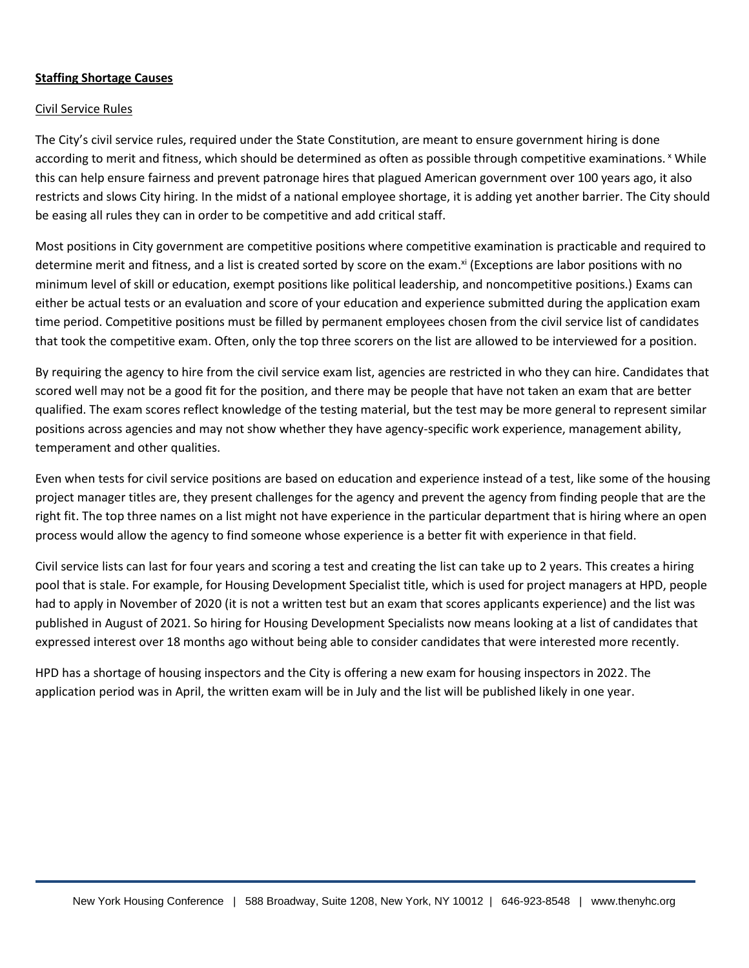### **Staffing Shortage Causes**

#### Civil Service Rules

The City's civil service rules, required under the State Constitution, are meant to ensure government hiring is done according to merit and fitness, which should be determined as often as possible through competitive examinations. Y While this can help ensure fairness and prevent patronage hires that plagued American government over 100 years ago, it also restricts and slows City hiring. In the midst of a national employee shortage, it is adding yet another barrier. The City should be easing all rules they can in order to be competitive and add critical staff.

Most positions in City government are competitive positions where competitive examination is practicable and required to determine merit and fitness, and a list is created sorted by score on the exam.<sup>xi</sup> (Exceptions are labor positions with no minimum level of skill or education, exempt positions like political leadership, and noncompetitive positions.) Exams can either be actual tests or an evaluation and score of your education and experience submitted during the application exam time period. Competitive positions must be filled by permanent employees chosen from the civil service list of candidates that took the competitive exam. Often, only the top three scorers on the list are allowed to be interviewed for a position.

By requiring the agency to hire from the civil service exam list, agencies are restricted in who they can hire. Candidates that scored well may not be a good fit for the position, and there may be people that have not taken an exam that are better qualified. The exam scores reflect knowledge of the testing material, but the test may be more general to represent similar positions across agencies and may not show whether they have agency-specific work experience, management ability, temperament and other qualities.

Even when tests for civil service positions are based on education and experience instead of a test, like some of the housing project manager titles are, they present challenges for the agency and prevent the agency from finding people that are the right fit. The top three names on a list might not have experience in the particular department that is hiring where an open process would allow the agency to find someone whose experience is a better fit with experience in that field.

Civil service lists can last for four years and scoring a test and creating the list can take up to 2 years. This creates a hiring pool that is stale. For example, for Housing Development Specialist title, which is used for project managers at HPD, people had to apply in November of 2020 (it is not a written test but an exam that scores applicants experience) and the list was published in August of 2021. So hiring for Housing Development Specialists now means looking at a list of candidates that expressed interest over 18 months ago without being able to consider candidates that were interested more recently.

HPD has a shortage of housing inspectors and the City is offering a new exam for housing inspectors in 2022. The application period was in April, the written exam will be in July and the list will be published likely in one year.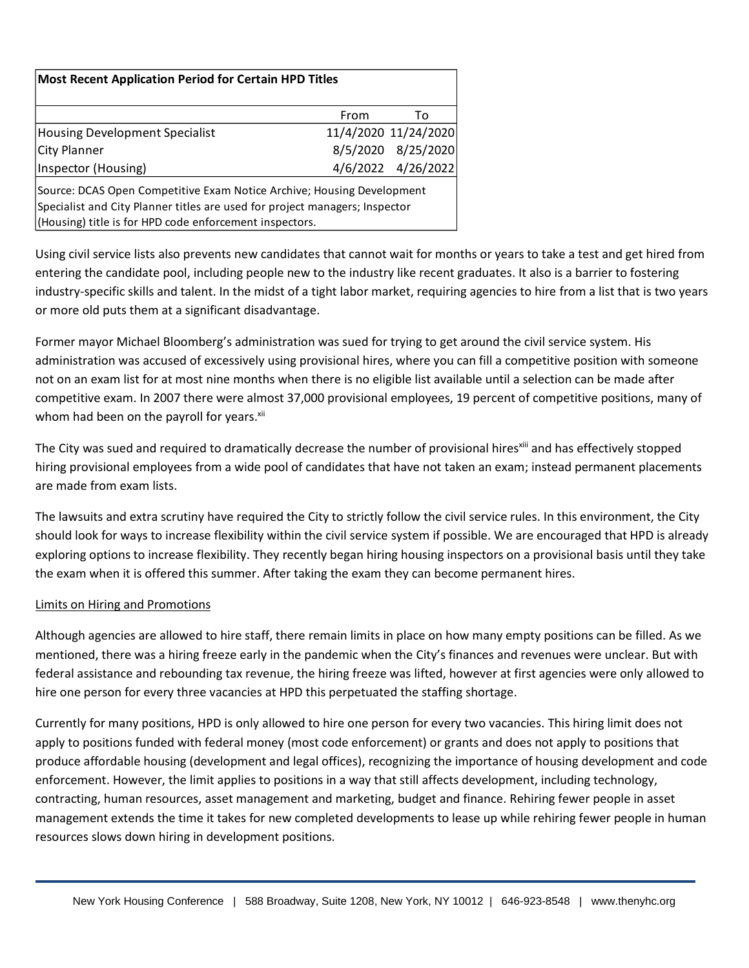| <b>Most Recent Application Period for Certain HPD Titles</b>                                                                                                                                                     |      |                      |  |  |  |  |  |  |
|------------------------------------------------------------------------------------------------------------------------------------------------------------------------------------------------------------------|------|----------------------|--|--|--|--|--|--|
|                                                                                                                                                                                                                  | From | To                   |  |  |  |  |  |  |
| <b>Housing Development Specialist</b>                                                                                                                                                                            |      | 11/4/2020 11/24/2020 |  |  |  |  |  |  |
| City Planner                                                                                                                                                                                                     |      | 8/5/2020 8/25/2020   |  |  |  |  |  |  |
| Inspector (Housing)                                                                                                                                                                                              |      | 4/6/2022 4/26/2022   |  |  |  |  |  |  |
| Source: DCAS Open Competitive Exam Notice Archive; Housing Development<br>Specialist and City Planner titles are used for project managers; Inspector<br>(Housing) title is for HPD code enforcement inspectors. |      |                      |  |  |  |  |  |  |

Using civil service lists also prevents new candidates that cannot wait for months or years to take a test and get hired from entering the candidate pool, including people new to the industry like recent graduates. It also is a barrier to fostering industry-specific skills and talent. In the midst of a tight labor market, requiring agencies to hire from a list that is two years or more old puts them at a significant disadvantage.

Former mayor Michael Bloomberg's administration was sued for trying to get around the civil service system. His administration was accused of excessively using provisional hires, where you can fill a competitive position with someone not on an exam list for at most nine months when there is no eligible list available until a selection can be made after competitive exam. In 2007 there were almost 37,000 provisional employees, 19 percent of competitive positions, many of whom had been on the payroll for years.<sup>xii</sup>

The City was sued and required to dramatically decrease the number of provisional hires<sup>xiii</sup> and has effectively stopped hiring provisional employees from a wide pool of candidates that have not taken an exam; instead permanent placements are made from exam lists.

The lawsuits and extra scrutiny have required the City to strictly follow the civil service rules. In this environment, the City should look for ways to increase flexibility within the civil service system if possible. We are encouraged that HPD is already exploring options to increase flexibility. They recently began hiring housing inspectors on a provisional basis until they take the exam when it is offered this summer. After taking the exam they can become permanent hires.

# Limits on Hiring and Promotions

Although agencies are allowed to hire staff, there remain limits in place on how many empty positions can be filled. As we mentioned, there was a hiring freeze early in the pandemic when the City's finances and revenues were unclear. But with federal assistance and rebounding tax revenue, the hiring freeze was lifted, however at first agencies were only allowed to hire one person for every three vacancies at HPD this perpetuated the staffing shortage.

Currently for many positions, HPD is only allowed to hire one person for every two vacancies. This hiring limit does not apply to positions funded with federal money (most code enforcement) or grants and does not apply to positions that produce affordable housing (development and legal offices), recognizing the importance of housing development and code enforcement. However, the limit applies to positions in a way that still affects development, including technology, contracting, human resources, asset management and marketing, budget and finance. Rehiring fewer people in asset management extends the time it takes for new completed developments to lease up while rehiring fewer people in human resources slows down hiring in development positions.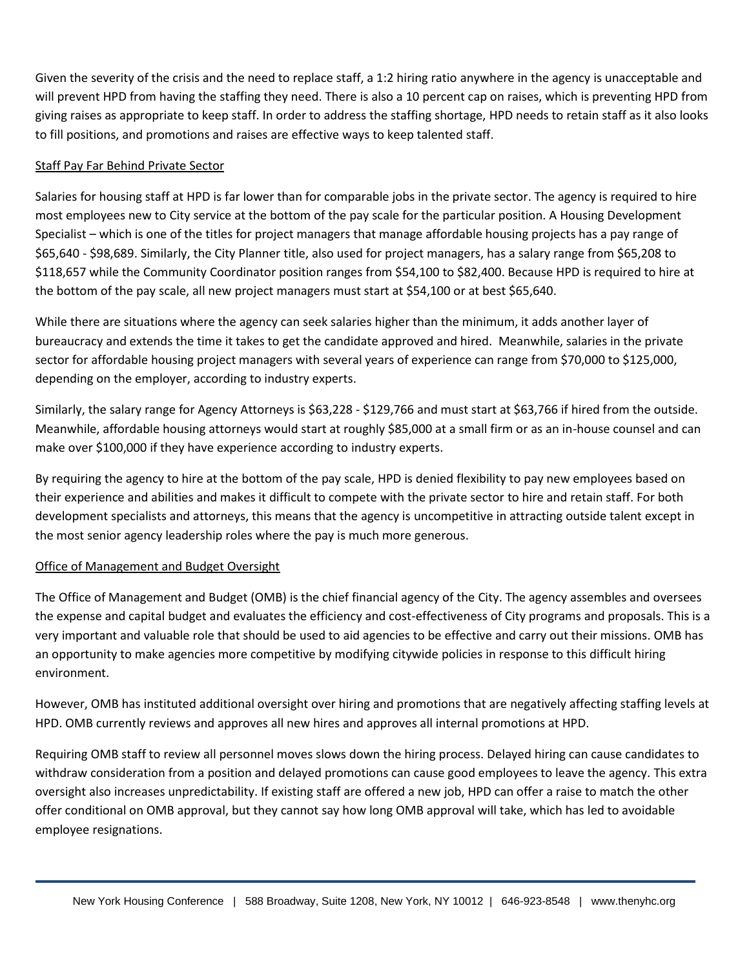Given the severity of the crisis and the need to replace staff, a 1:2 hiring ratio anywhere in the agency is unacceptable and will prevent HPD from having the staffing they need. There is also a 10 percent cap on raises, which is preventing HPD from giving raises as appropriate to keep staff. In order to address the staffing shortage, HPD needs to retain staff as it also looks to fill positions, and promotions and raises are effective ways to keep talented staff.

## Staff Pay Far Behind Private Sector

Salaries for housing staff at HPD is far lower than for comparable jobs in the private sector. The agency is required to hire most employees new to City service at the bottom of the pay scale for the particular position. A Housing Development Specialist – which is one of the titles for project managers that manage affordable housing projects has a pay range of \$65,640 - \$98,689. Similarly, the City Planner title, also used for project managers, has a salary range from \$65,208 to \$118,657 while the Community Coordinator position ranges from \$54,100 to \$82,400. Because HPD is required to hire at the bottom of the pay scale, all new project managers must start at \$54,100 or at best \$65,640.

While there are situations where the agency can seek salaries higher than the minimum, it adds another layer of bureaucracy and extends the time it takes to get the candidate approved and hired. Meanwhile, salaries in the private sector for affordable housing project managers with several years of experience can range from \$70,000 to \$125,000, depending on the employer, according to industry experts.

Similarly, the salary range for Agency Attorneys is \$63,228 - \$129,766 and must start at \$63,766 if hired from the outside. Meanwhile, affordable housing attorneys would start at roughly \$85,000 at a small firm or as an in-house counsel and can make over \$100,000 if they have experience according to industry experts.

By requiring the agency to hire at the bottom of the pay scale, HPD is denied flexibility to pay new employees based on their experience and abilities and makes it difficult to compete with the private sector to hire and retain staff. For both development specialists and attorneys, this means that the agency is uncompetitive in attracting outside talent except in the most senior agency leadership roles where the pay is much more generous.

#### Office of Management and Budget Oversight

The Office of Management and Budget (OMB) is the chief financial agency of the City. The agency assembles and oversees the expense and capital budget and evaluates the efficiency and cost-effectiveness of City programs and proposals. This is a very important and valuable role that should be used to aid agencies to be effective and carry out their missions. OMB has an opportunity to make agencies more competitive by modifying citywide policies in response to this difficult hiring environment.

However, OMB has instituted additional oversight over hiring and promotions that are negatively affecting staffing levels at HPD. OMB currently reviews and approves all new hires and approves all internal promotions at HPD.

Requiring OMB staff to review all personnel moves slows down the hiring process. Delayed hiring can cause candidates to withdraw consideration from a position and delayed promotions can cause good employees to leave the agency. This extra oversight also increases unpredictability. If existing staff are offered a new job, HPD can offer a raise to match the other offer conditional on OMB approval, but they cannot say how long OMB approval will take, which has led to avoidable employee resignations.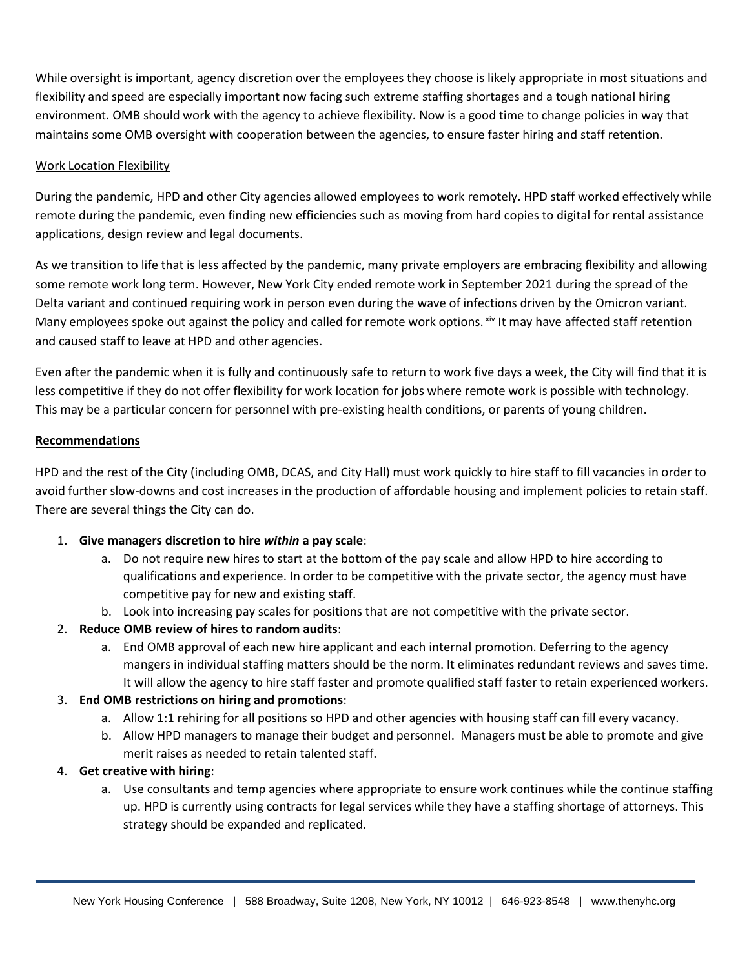While oversight is important, agency discretion over the employees they choose is likely appropriate in most situations and flexibility and speed are especially important now facing such extreme staffing shortages and a tough national hiring environment. OMB should work with the agency to achieve flexibility. Now is a good time to change policies in way that maintains some OMB oversight with cooperation between the agencies, to ensure faster hiring and staff retention.

## Work Location Flexibility

During the pandemic, HPD and other City agencies allowed employees to work remotely. HPD staff worked effectively while remote during the pandemic, even finding new efficiencies such as moving from hard copies to digital for rental assistance applications, design review and legal documents.

As we transition to life that is less affected by the pandemic, many private employers are embracing flexibility and allowing some remote work long term. However, New York City ended remote work in September 2021 during the spread of the Delta variant and continued requiring work in person even during the wave of infections driven by the Omicron variant. Many employees spoke out against the policy and called for remote work options. xiv It may have affected staff retention and caused staff to leave at HPD and other agencies.

Even after the pandemic when it is fully and continuously safe to return to work five days a week, the City will find that it is less competitive if they do not offer flexibility for work location for jobs where remote work is possible with technology. This may be a particular concern for personnel with pre-existing health conditions, or parents of young children.

## **Recommendations**

HPD and the rest of the City (including OMB, DCAS, and City Hall) must work quickly to hire staff to fill vacancies in order to avoid further slow-downs and cost increases in the production of affordable housing and implement policies to retain staff. There are several things the City can do.

# 1. **Give managers discretion to hire** *within* **a pay scale**:

- a. Do not require new hires to start at the bottom of the pay scale and allow HPD to hire according to qualifications and experience. In order to be competitive with the private sector, the agency must have competitive pay for new and existing staff.
- b. Look into increasing pay scales for positions that are not competitive with the private sector.
- 2. **Reduce OMB review of hires to random audits**:
	- a. End OMB approval of each new hire applicant and each internal promotion. Deferring to the agency mangers in individual staffing matters should be the norm. It eliminates redundant reviews and saves time. It will allow the agency to hire staff faster and promote qualified staff faster to retain experienced workers.

#### 3. **End OMB restrictions on hiring and promotions**:

- a. Allow 1:1 rehiring for all positions so HPD and other agencies with housing staff can fill every vacancy.
- b. Allow HPD managers to manage their budget and personnel. Managers must be able to promote and give merit raises as needed to retain talented staff.

#### 4. **Get creative with hiring**:

a. Use consultants and temp agencies where appropriate to ensure work continues while the continue staffing up. HPD is currently using contracts for legal services while they have a staffing shortage of attorneys. This strategy should be expanded and replicated.